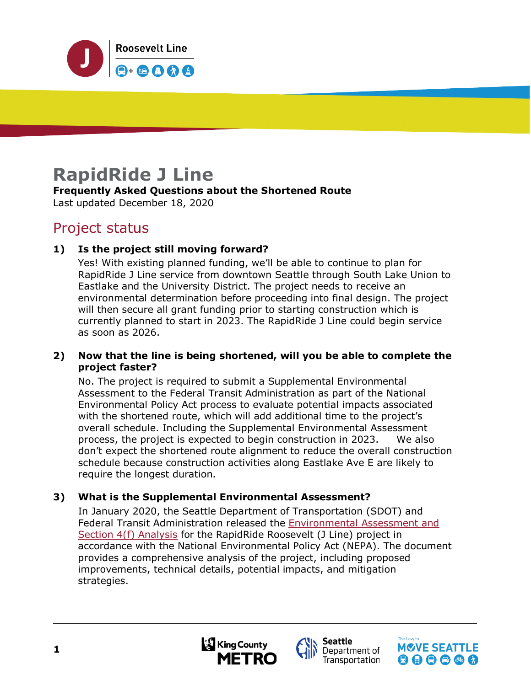

# **RapidRide J Line**

# **Frequently Asked Questions about the Shortened Route**

Last updated December 18, 2020

# Project status

# **1) Is the project still moving forward?**

Yes! With existing planned funding, we'll be able to continue to plan for RapidRide J Line service from downtown Seattle through South Lake Union to Eastlake and the University District. The project needs to receive an environmental determination before proceeding into final design. The project will then secure all grant funding prior to starting construction which is currently planned to start in 2023. The RapidRide J Line could begin service as soon as 2026.

#### **2) Now that the line is being shortened, will you be able to complete the project faster?**

No. The project is required to submit a Supplemental Environmental Assessment to the Federal Transit Administration as part of the National Environmental Policy Act process to evaluate potential impacts associated with the shortened route, which will add additional time to the project's overall schedule. Including the Supplemental Environmental Assessment process, the project is expected to begin construction in 2023. We also don't expect the shortened route alignment to reduce the overall construction schedule because construction activities along Eastlake Ave E are likely to require the longest duration.

# **3) What is the Supplemental Environmental Assessment?**

In January 2020, the Seattle Department of Transportation (SDOT) and Federal Transit Administration released the [Environmental Assessment and](http://www.seattle.gov/transportation/projects-and-programs/programs/transit-program/transit-plus-multimodal-corridor-program/rapidride-roosevelt#Environmental%20Assessment)  [Section 4\(f\) Analysis](http://www.seattle.gov/transportation/projects-and-programs/programs/transit-program/transit-plus-multimodal-corridor-program/rapidride-roosevelt#Environmental%20Assessment) for the RapidRide Roosevelt (J Line) project in accordance with the National Environmental Policy Act (NEPA). The document provides a comprehensive analysis of the project, including proposed improvements, technical details, potential impacts, and mitigation strategies.





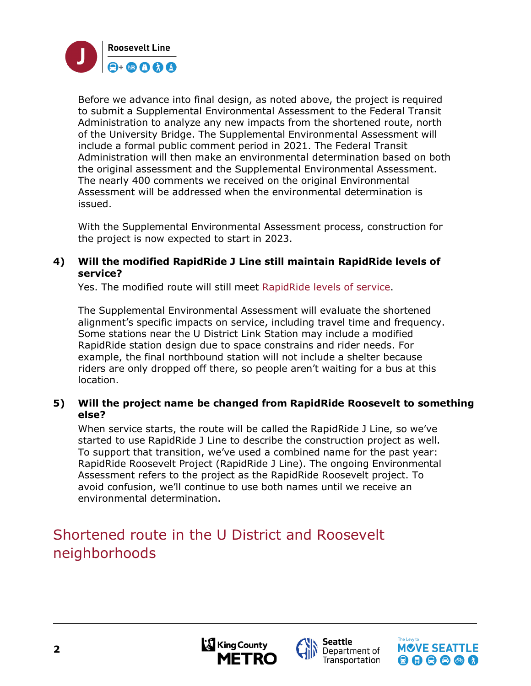

Before we advance into final design, as noted above, the project is required to submit a Supplemental Environmental Assessment to the Federal Transit Administration to analyze any new impacts from the shortened route, north of the University Bridge. The Supplemental Environmental Assessment will include a formal public comment period in 2021. The Federal Transit Administration will then make an environmental determination based on both the original assessment and the Supplemental Environmental Assessment. The nearly 400 comments we received on the original Environmental Assessment will be addressed when the environmental determination is issued.

With the Supplemental Environmental Assessment process, construction for the project is now expected to start in 2023.

#### **4) Will the modified RapidRide J Line still maintain RapidRide levels of service?**

Yes. The modified route will still meet [RapidRide levels of service.](https://kingcounty.gov/depts/transportation/metro/travel-options/bus/rapidride.aspx)

The Supplemental Environmental Assessment will evaluate the shortened alignment's specific impacts on service, including travel time and frequency. Some stations near the U District Link Station may include a modified RapidRide station design due to space constrains and rider needs. For example, the final northbound station will not include a shelter because riders are only dropped off there, so people aren't waiting for a bus at this location.

#### **5) Will the project name be changed from RapidRide Roosevelt to something else?**

When service starts, the route will be called the RapidRide J Line, so we've started to use RapidRide J Line to describe the construction project as well. To support that transition, we've used a combined name for the past year: RapidRide Roosevelt Project (RapidRide J Line). The ongoing Environmental Assessment refers to the project as the RapidRide Roosevelt project. To avoid confusion, we'll continue to use both names until we receive an environmental determination.

# Shortened route in the U District and Roosevelt neighborhoods



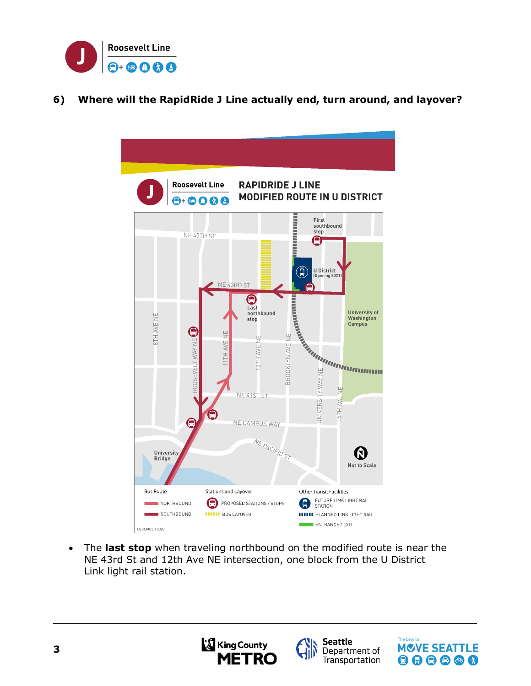

# **6) Where will the RapidRide J Line actually end, turn around, and layover?**



• The **last stop** when traveling northbound on the modified route is near the NE 43rd St and 12th Ave NE intersection, one block from the U District Link light rail station.





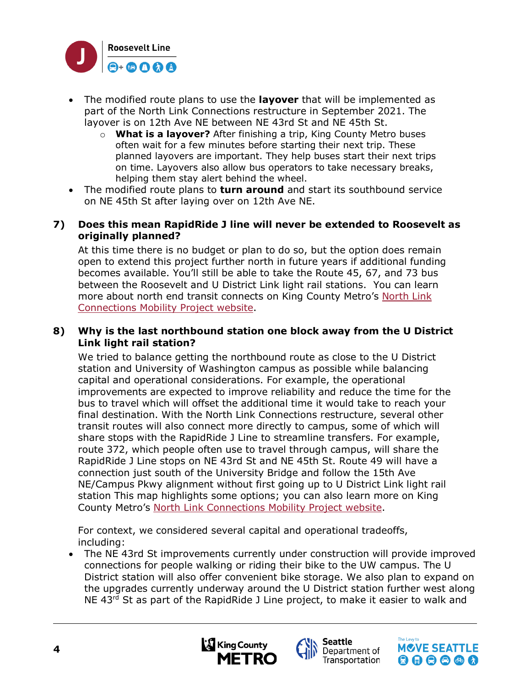

- The modified route plans to use the **layover** that will be implemented as part of the [North Link C](https://publicinput.com/B1882)onnections restructure in September 2021. The layover is on 12th Ave NE between NE 43rd St and NE 45th St.
	- o **What is a layover?** After finishing a trip, King County Metro buses often wait for a few minutes before starting their next trip. These planned layovers are important. They help buses start their next trips on time. Layovers also allow bus operators to take necessary breaks, helping them stay alert behind the wheel.
- The modified route plans to **turn around** and start its southbound service on NE 45th St after laying over on 12th Ave NE.
- **7) Does this mean RapidRide J line will never be extended to Roosevelt as originally planned?**

At this time there is no budget or plan to do so, but the option does remain open to extend this project further north in future years if additional funding becomes available. You'll still be able to take the Route 45, 67, and 73 bus between the Roosevelt and U District Link light rail stations. You can learn more about north end transit connects on King County Metro's [North Link](https://publicinput.com/B1882)  [Connections Mobility Project website.](https://publicinput.com/B1882)

#### **8) Why is the last northbound station one block away from the U District Link light rail station?**

We tried to balance getting the northbound route as close to the U District station and University of Washington campus as possible while balancing capital and operational considerations. For example, the operational improvements are expected to improve reliability and reduce the time for the bus to travel which will offset the additional time it would take to reach your final destination. With the North Link Connections restructure, several other transit routes will also connect more directly to campus, some of which will share stops with the RapidRide J Line to streamline transfers. For example, route 372, which people often use to travel through campus, will share the RapidRide J Line stops on NE 43rd St and NE 45th St. Route 49 will have a connection just south of the University Bridge and follow the 15th Ave NE/Campus Pkwy alignment without first going up to U District Link light rail station This map highlights some options; you can also learn more on King County Metro's [North Link Connections Mobility Project website.](https://publicinput.com/B1882)

For context, we considered several capital and operational tradeoffs, including:

• The NE 43rd St improvements currently under construction will provide improved connections for people walking or riding their bike to the UW campus. The U District station will also offer convenient bike storage. We also plan to expand on the upgrades currently underway around the U District station further west along NE 43<sup>rd</sup> St as part of the RapidRide J Line project, to make it easier to walk and





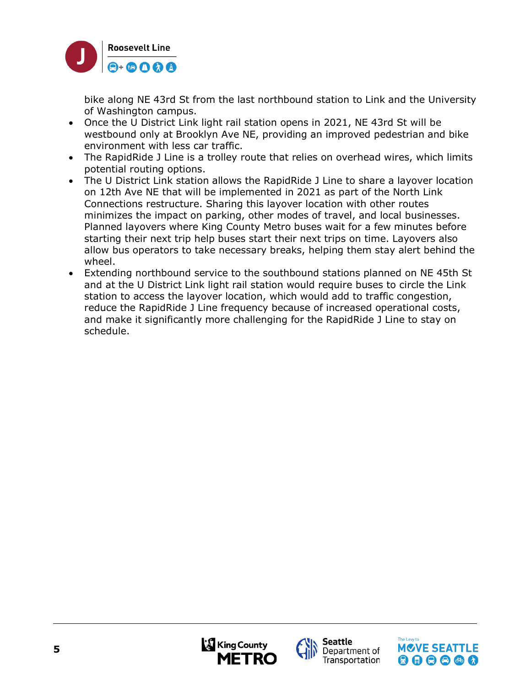

bike along NE 43rd St from the last northbound station to Link and the University of Washington campus.

- Once the U District Link light rail station opens in 2021, NE 43rd St will be westbound only at Brooklyn Ave NE, providing an improved pedestrian and bike environment with less car traffic.
- The RapidRide J Line is a trolley route that relies on overhead wires, which limits potential routing options.
- The U District Link station allows the RapidRide J Line to share a layover location on 12th Ave NE that will be implemented in 2021 as part of the North Link Connections restructure. Sharing this layover location with other routes minimizes the impact on parking, other modes of travel, and local businesses. Planned layovers where King County Metro buses wait for a few minutes before starting their next trip help buses start their next trips on time. Layovers also allow bus operators to take necessary breaks, helping them stay alert behind the wheel.
- Extending northbound service to the southbound stations planned on NE 45th St and at the U District Link light rail station would require buses to circle the Link station to access the layover location, which would add to traffic congestion, reduce the RapidRide J Line frequency because of increased operational costs, and make it significantly more challenging for the RapidRide J Line to stay on schedule.



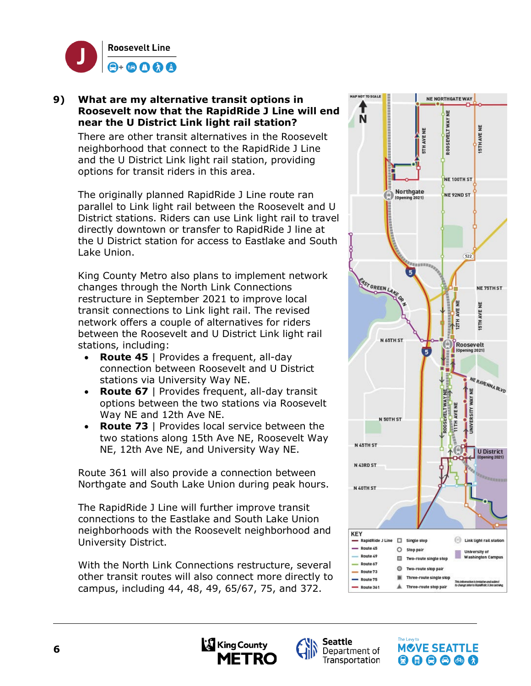

#### **9) What are my alternative transit options in Roosevelt now that the RapidRide J Line will end near the U District Link light rail station?**

There are other transit alternatives in the Roosevelt neighborhood that connect to the RapidRide J Line and the U District Link light rail station, providing options for transit riders in this area.

The originally planned RapidRide J Line route ran parallel to Link light rail between the Roosevelt and U District stations. Riders can use Link light rail to travel directly downtown or transfer to RapidRide J line at the U District station for access to Eastlake and South Lake Union.

King County Metro also plans to implement network changes through the [North Link C](https://publicinput.com/B1882)onnections restructure in September 2021 to improve local transit connections to Link light rail. The revised network offers a couple of alternatives for riders between the Roosevelt and U District Link light rail stations, including:

- **Route 45** | Provides a frequent, all-day connection between Roosevelt and U District stations via University Way NE.
- **Route 67** | Provides frequent, all-day transit options between the two stations via Roosevelt Way NE and 12th Ave NE.
- **Route 73** | Provides local service between the two stations along 15th Ave NE, Roosevelt Way NE, 12th Ave NE, and University Way NE.

Route 361 will also provide a connection between Northgate and South Lake Union during peak hours.

The RapidRide J Line will further improve transit connections to the Eastlake and South Lake Union neighborhoods with the Roosevelt neighborhood and University District.

With the North Link Connections restructure, several other transit routes will also connect more directly to campus, including 44, 48, 49, 65/67, 75, and 372.







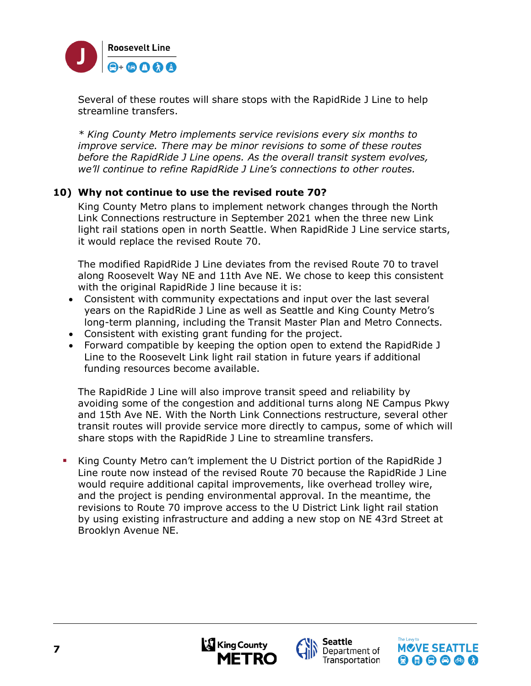

Several of these routes will share stops with the RapidRide J Line to help streamline transfers.

*\* King County Metro implements service revisions every six months to improve service. There may be minor revisions to some of these routes before the RapidRide J Line opens. As the overall transit system evolves, we'll continue to refine RapidRide J Line's connections to other routes.* 

#### **10) Why not continue to use the revised route 70?**

King County Metro plans to implement network changes through the [North](https://publicinput.com/B1882)  [Link Connections restructure](https://publicinput.com/B1882) in September 2021 when the three new Link light rail stations open in north Seattle. When RapidRide J Line service starts, it would replace the revised Route 70.

The modified RapidRide J Line deviates from the revised Route 70 to travel along Roosevelt Way NE and 11th Ave NE. We chose to keep this consistent with the original RapidRide J line because it is:

- Consistent with community expectations and input over the last several years on the RapidRide J Line as well as Seattle and King County Metro's long-term planning, including the Transit Master Plan and Metro Connects.
- Consistent with existing grant funding for the project.
- Forward compatible by keeping the option open to extend the RapidRide J Line to the Roosevelt Link light rail station in future years if additional funding resources become available.

The RapidRide J Line will also improve transit speed and reliability by avoiding some of the congestion and additional turns along NE Campus Pkwy and 15th Ave NE. With the North Link Connections restructure, several other transit routes will provide service more directly to campus, some of which will share stops with the RapidRide J Line to streamline transfers.

 King County Metro can't implement the U District portion of the RapidRide J Line route now instead of the revised Route 70 because the RapidRide J Line would require additional capital improvements, like overhead trolley wire, and the project is pending environmental approval. In the meantime, the revisions to Route 70 improve access to the U District Link light rail station by using existing infrastructure and adding a new stop on NE 43rd Street at Brooklyn Avenue NE.





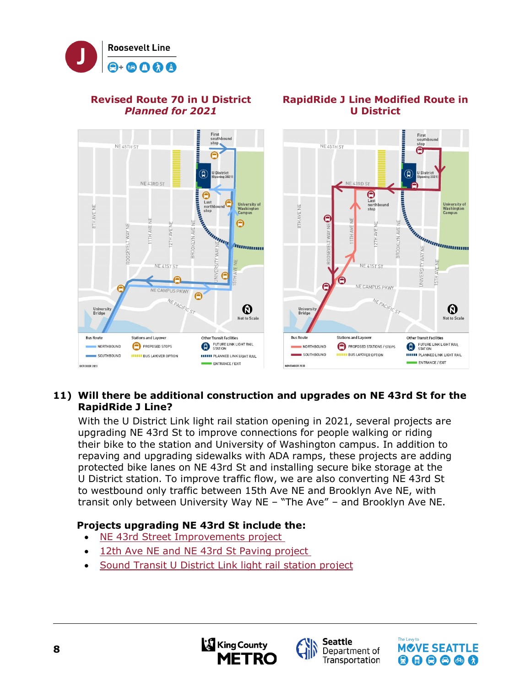

#### **Revised Route 70 in U District**  *Planned for 2021*



**RapidRide J Line Modified Route in U District** 

# **11) Will there be additional construction and upgrades on NE 43rd St for the RapidRide J Line?**

With the U District Link light rail station opening in 2021, several projects are upgrading NE 43rd St to improve connections for people walking or riding their bike to the station and University of Washington campus. In addition to repaving and upgrading sidewalks with ADA ramps, these projects are adding protected bike lanes on NE 43rd St and installing secure bike storage at the U District station. To improve traffic flow, we are also converting NE 43rd St to westbound only traffic between 15th Ave NE and Brooklyn Ave NE, with transit only between University Way NE – "The Ave" – and Brooklyn Ave NE.

# **Projects upgrading NE 43rd St include the:**

- [NE 43rd Street Improvements project](https://seattle.us15.list-manage.com/track/click?u=017c12065c8a712b3b9f4e4c7&id=3d6c80e1c2&e=a3fec5cfba)
- [12th Ave NE and NE 43rd St Paving project](https://seattle.us15.list-manage.com/track/click?u=017c12065c8a712b3b9f4e4c7&id=f6f1a90bfb&e=a3fec5cfba)
- [Sound Transit U District Link light rail station project](https://www.soundtransit.org/system-expansion/u-district-station/documents)



**Seattle** 



**8**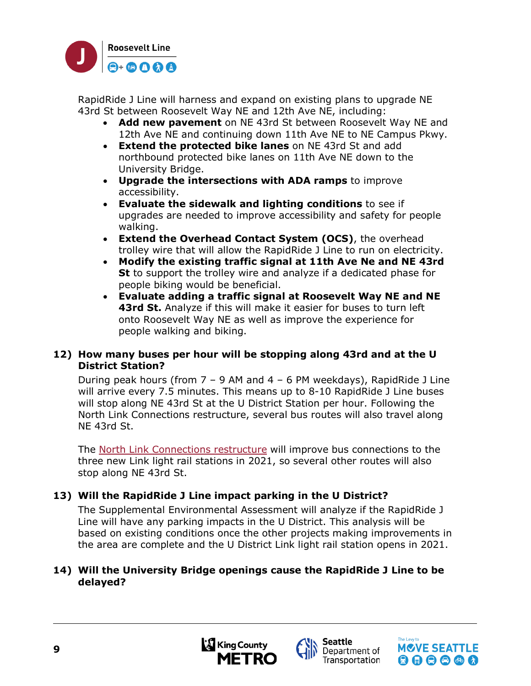

RapidRide J Line will harness and expand on existing plans to upgrade NE 43rd St between Roosevelt Way NE and 12th Ave NE, including:

- **Add new pavement** on NE 43rd St between Roosevelt Way NE and 12th Ave NE and continuing down 11th Ave NE to NE Campus Pkwy.
- **Extend the protected bike lanes** on NE 43rd St and add northbound protected bike lanes on 11th Ave NE down to the University Bridge.
- **Upgrade the intersections with ADA ramps** to improve accessibility.
- **Evaluate the sidewalk and lighting conditions** to see if upgrades are needed to improve accessibility and safety for people walking.
- **Extend the Overhead Contact System (OCS)**, the overhead trolley wire that will allow the RapidRide J Line to run on electricity.
- **Modify the existing traffic signal at 11th Ave Ne and NE 43rd St** to support the trolley wire and analyze if a dedicated phase for people biking would be beneficial.
- **Evaluate adding a traffic signal at Roosevelt Way NE and NE 43rd St.** Analyze if this will make it easier for buses to turn left onto Roosevelt Way NE as well as improve the experience for people walking and biking.

#### **12) How many buses per hour will be stopping along 43rd and at the U District Station?**

During peak hours (from  $7 - 9$  AM and  $4 - 6$  PM weekdays), RapidRide J Line will arrive every 7.5 minutes. This means up to 8-10 RapidRide J Line buses will stop along NE 43rd St at the U District Station per hour. Following the North Link Connections restructure, several bus routes will also travel along NE 43rd St.

The North Link [Connections](https://publicinput.com/B1882) restructure will improve bus connections to the three new Link light rail stations in 2021, so several other routes will also stop along NE 43rd St.

# **13) Will the RapidRide J Line impact parking in the U District?**

The Supplemental Environmental Assessment will analyze if the RapidRide J Line will have any parking impacts in the U District. This analysis will be based on existing conditions once the other projects making improvements in the area are complete and the U District Link light rail station opens in 2021.

#### **14) Will the University Bridge openings cause the RapidRide J Line to be delayed?**



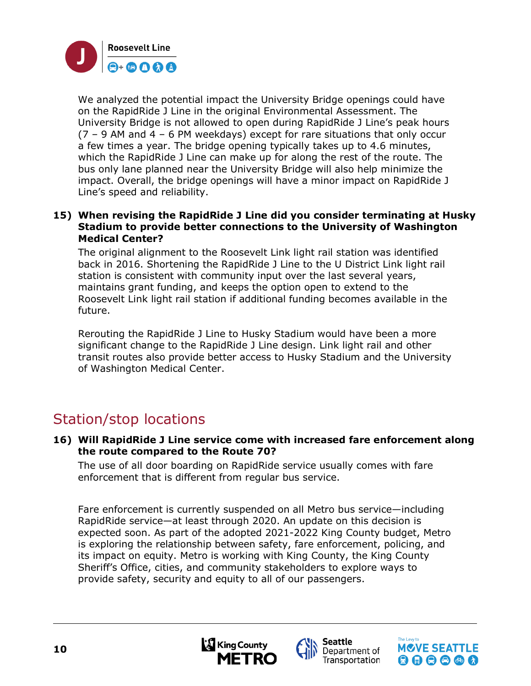

We analyzed the potential impact the University Bridge openings could have on the RapidRide J Line in the original Environmental Assessment. The University Bridge is not allowed to open during RapidRide J Line's peak hours  $(7 - 9$  AM and  $4 - 6$  PM weekdays) except for rare situations that only occur a few times a year. The bridge opening typically takes up to 4.6 minutes, which the RapidRide J Line can make up for along the rest of the route. The bus only lane planned near the University Bridge will also help minimize the impact. Overall, the bridge openings will have a minor impact on RapidRide J Line's speed and reliability.

#### **15) When revising the RapidRide J Line did you consider terminating at Husky Stadium to provide better connections to the University of Washington Medical Center?**

The original alignment to the Roosevelt Link light rail station was identified back in 2016. Shortening the RapidRide J Line to the U District Link light rail station is consistent with community input over the last several years, maintains grant funding, and keeps the option open to extend to the Roosevelt Link light rail station if additional funding becomes available in the future.

Rerouting the RapidRide J Line to Husky Stadium would have been a more significant change to the RapidRide J Line design. Link light rail and other transit routes also provide better access to Husky Stadium and the University of Washington Medical Center.

# Station/stop locations

**16) Will RapidRide J Line service come with increased fare enforcement along the route compared to the Route 70?**

The use of all door boarding on RapidRide service usually comes with fare enforcement that is different from regular bus service.

Fare enforcement is currently suspended on all Metro bus service—including RapidRide service—at least through 2020. An update on this decision is expected soon. As part of the adopted 2021-2022 King County budget, Metro is exploring the relationship between safety, fare enforcement, policing, and its impact on equity. Metro is working with King County, the King County Sheriff's Office, cities, and community stakeholders to explore ways to provide safety, security and equity to all of our passengers.





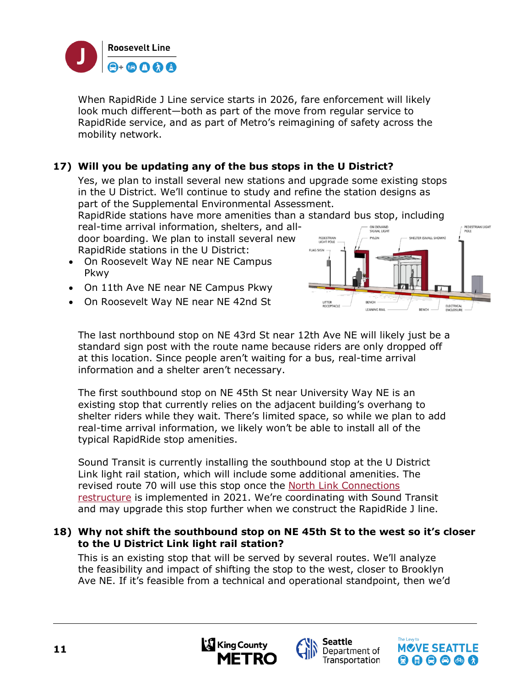

When RapidRide J Line service starts in 2026, fare enforcement will likely look much different—both as part of the move from regular service to RapidRide service, and as part of Metro's reimagining of safety across the mobility network.

# **17) Will you be updating any of the bus stops in the U District?**

Yes, we plan to install several new stations and upgrade some existing stops in the U District. We'll continue to study and refine the station designs as part of the Supplemental Environmental Assessment.

RapidRide stations have more amenities than a standard bus stop, including real-time arrival information, shelters, and all-

door boarding. We plan to install several new RapidRide stations in the U District:

- On Roosevelt Way NE near NE Campus Pkwy
- On 11th Ave NE near NE Campus Pkwy
- On Roosevelt Way NE near NE 42nd St



The last northbound stop on NE 43rd St near 12th Ave NE will likely just be a standard sign post with the route name because riders are only dropped off at this location. Since people aren't waiting for a bus, real-time arrival information and a shelter aren't necessary.

The first southbound stop on NE 45th St near University Way NE is an existing stop that currently relies on the adjacent building's overhang to shelter riders while they wait. There's limited space, so while we plan to add real-time arrival information, we likely won't be able to install all of the typical RapidRide stop amenities.

Sound Transit is currently installing the southbound stop at the U District Link light rail station, which will include some additional amenities. The revised route 70 will use this stop once the North Link Connections [restructure](https://publicinput.com/B1882) is implemented in 2021. We're coordinating with Sound Transit and may upgrade this stop further when we construct the RapidRide J line.

#### **18) Why not shift the southbound stop on NE 45th St to the west so it's closer to the U District Link light rail station?**

This is an existing stop that will be served by several routes. We'll analyze the feasibility and impact of shifting the stop to the west, closer to Brooklyn Ave NE. If it's feasible from a technical and operational standpoint, then we'd





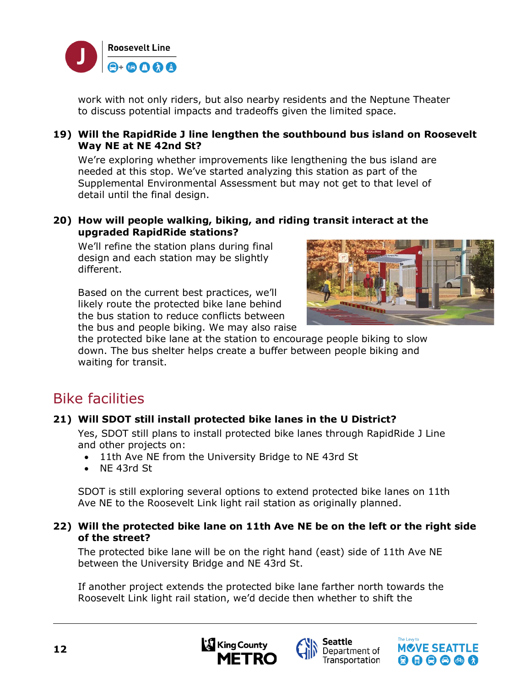

work with not only riders, but also nearby residents and the Neptune Theater to discuss potential impacts and tradeoffs given the limited space.

#### **19) Will the RapidRide J line lengthen the southbound bus island on Roosevelt Way NE at NE 42nd St?**

We're exploring whether improvements like lengthening the bus island are needed at this stop. We've started analyzing this station as part of the Supplemental Environmental Assessment but may not get to that level of detail until the final design.

#### **20) How will people walking, biking, and riding transit interact at the upgraded RapidRide stations?**

We'll refine the station plans during final design and each station may be slightly different.

Based on the current best practices, we'll likely route the protected bike lane behind the bus station to reduce conflicts between the bus and people biking. We may also raise



the protected bike lane at the station to encourage people biking to slow down. The bus shelter helps create a buffer between people biking and waiting for transit.

# Bike facilities

# **21) Will SDOT still install protected bike lanes in the U District?**

Yes, SDOT still plans to install protected bike lanes through RapidRide J Line and other projects on:

- 11th Ave NE from the University Bridge to NE 43rd St
- NE 43rd St

SDOT is still exploring several options to extend protected bike lanes on 11th Ave NE to the Roosevelt Link light rail station as originally planned.

#### **22) Will the protected bike lane on 11th Ave NE be on the left or the right side of the street?**

The protected bike lane will be on the right hand (east) side of 11th Ave NE between the University Bridge and NE 43rd St.

If another project extends the protected bike lane farther north towards the Roosevelt Link light rail station, we'd decide then whether to shift the





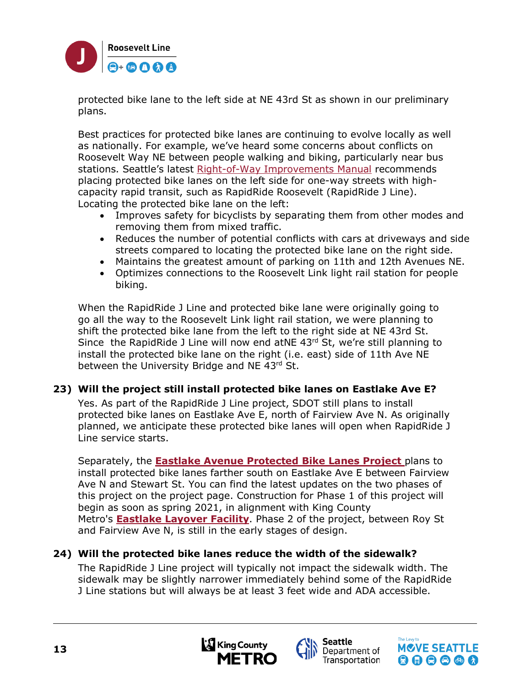

protected bike lane to the left side at NE 43rd St as shown in our preliminary plans.

Best practices for protected bike lanes are continuing to evolve locally as well as nationally. For example, we've heard some concerns about conflicts on Roosevelt Way NE between people walking and biking, particularly near bus stations. Seattle's latest [Right-of-Way Improvements Manual](https://streetsillustrated.seattle.gov/) recommends placing protected bike lanes on the left side for one-way streets with highcapacity rapid transit, such as RapidRide Roosevelt (RapidRide J Line). Locating the protected bike lane on the left:

- Improves safety for bicyclists by separating them from other modes and removing them from mixed traffic.
- Reduces the number of potential conflicts with cars at driveways and side streets compared to locating the protected bike lane on the right side.
- Maintains the greatest amount of parking on 11th and 12th Avenues NE.
- Optimizes connections to the Roosevelt Link light rail station for people biking.

When the RapidRide J Line and protected bike lane were originally going to go all the way to the Roosevelt Link light rail station, we were planning to shift the protected bike lane from the left to the right side at NE 43rd St. Since the RapidRide J Line will now end atNE 43rd St, we're still planning to install the protected bike lane on the right (i.e. east) side of 11th Ave NE between the University Bridge and NE 43rd St.

# **23) Will the project still install protected bike lanes on Eastlake Ave E?**

Yes. As part of the RapidRide J Line project, SDOT still plans to install protected bike lanes on Eastlake Ave E, north of Fairview Ave N. As originally planned, we anticipate these protected bike lanes will open when RapidRide J Line service starts.

Separately, the **[Eastlake Avenue Protected Bike Lanes Project](https://www.seattle.gov/transportation/projects-and-programs/programs/bike-program/protected-bike-lanes/eastlake-avenue-protected-bike-lanes)** plans to install protected bike lanes farther south on Eastlake Ave E between Fairview Ave N and Stewart St. You can find the latest updates on the two phases of this project on the project page. Construction for Phase 1 of this project will begin as soon as spring 2021, in alignment with King County Metro's **[Eastlake Layover Facility](https://kingcounty.gov/depts/transportation/metro/programs-projects/transit-corridors-parking-and-facilities/eastlake-layover-facility.aspx)**. Phase 2 of the project, between Roy St and Fairview Ave N, is still in the early stages of design.

# **24) Will the protected bike lanes reduce the width of the sidewalk?**

The RapidRide J Line project will typically not impact the sidewalk width. The sidewalk may be slightly narrower immediately behind some of the RapidRide J Line stations but will always be at least 3 feet wide and ADA accessible.





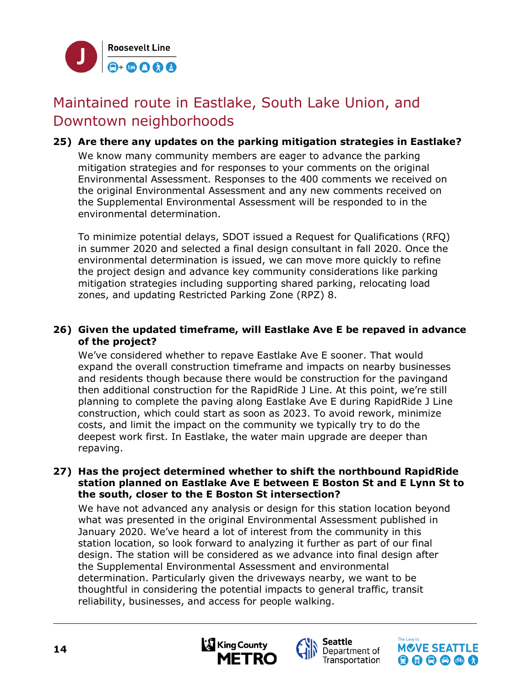

# Maintained route in Eastlake, South Lake Union, and Downtown neighborhoods

**25) Are there any updates on the parking mitigation strategies in Eastlake?** We know many community members are eager to advance the parking mitigation strategies and for responses to your comments on the original Environmental Assessment. Responses to the 400 comments we received on the original Environmental Assessment and any new comments received on the Supplemental Environmental Assessment will be responded to in the environmental determination.

To minimize potential delays, SDOT issued a Request for Qualifications (RFQ) in summer 2020 and selected a final design consultant in fall 2020. Once the environmental determination is issued, we can move more quickly to refine the project design and advance key community considerations like parking mitigation strategies including supporting shared parking, relocating load zones, and updating Restricted Parking Zone (RPZ) 8.

#### **26) Given the updated timeframe, will Eastlake Ave E be repaved in advance of the project?**

We've considered whether to repave Eastlake Ave E sooner. That would expand the overall construction timeframe and impacts on nearby businesses and residents though because there would be construction for the pavingand then additional construction for the RapidRide J Line. At this point, we're still planning to complete the paving along Eastlake Ave E during RapidRide J Line construction, which could start as soon as 2023. To avoid rework, minimize costs, and limit the impact on the community we typically try to do the deepest work first. In Eastlake, the water main upgrade are deeper than repaving.

#### **27) Has the project determined whether to shift the northbound RapidRide station planned on Eastlake Ave E between E Boston St and E Lynn St to the south, closer to the E Boston St intersection?**

We have not advanced any analysis or design for this station location beyond what was presented in the original Environmental Assessment published in January 2020. We've heard a lot of interest from the community in this station location, so look forward to analyzing it further as part of our final design. The station will be considered as we advance into final design after the Supplemental Environmental Assessment and environmental determination. Particularly given the driveways nearby, we want to be thoughtful in considering the potential impacts to general traffic, transit reliability, businesses, and access for people walking.





Department of Transportation